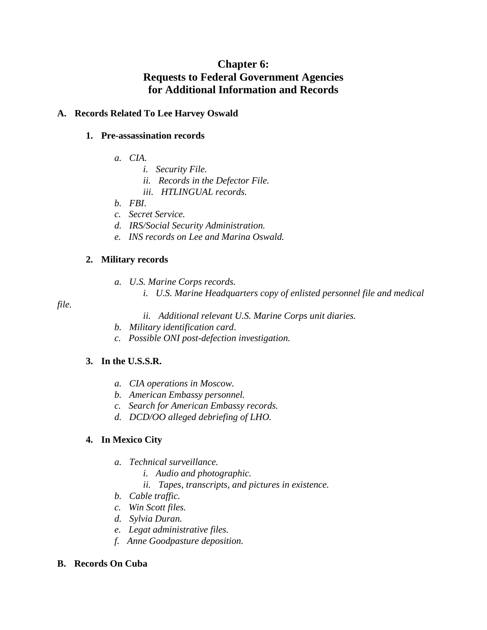# **Chapter 6: Requests to Federal Government Agencies for Additional Information and Records**

### **A. Records Related To Lee Harvey Oswald**

#### **1. Pre-assassination records**

- *a. CIA.*
	- *i. Security File.*
	- *ii. Records in the Defector File.*
	- *iii. HTLINGUAL records.*
- *b. FBI*.
- *c. Secret Service.*
- *d. IRS/Social Security Administration.*
- *e. INS records on Lee and Marina Oswald.*

### **2. Military records**

- *a. U.S. Marine Corps records.*
	- *i. U.S. Marine Headquarters copy of enlisted personnel file and medical*

### *file.*

- *ii. Additional relevant U.S. Marine Corps unit diaries.*
- *b. Military identification card*.
- *c. Possible ONI post-defection investigation.*

### **3. In the U.S.S.R.**

- *a. CIA operations in Moscow.*
- *b. American Embassy personnel.*
- *c. Search for American Embassy records.*
- *d. DCD/OO alleged debriefing of LHO.*

### **4. In Mexico City**

- *a. Technical surveillance.*
	- *i. Audio and photographic.*
	- *ii. Tapes, transcripts, and pictures in existence.*
- *b. Cable traffic.*
- *c. Win Scott files.*
- *d. Sylvia Duran.*
- *e. Legat administrative files.*
- *f. Anne Goodpasture deposition.*

#### **B. Records On Cuba**